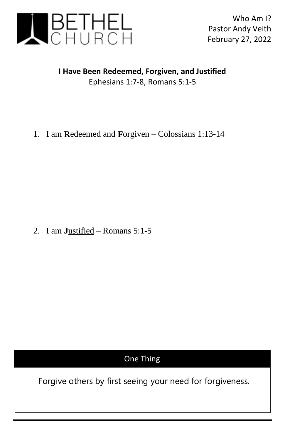

## **I Have Been Redeemed, Forgiven, and Justified** Ephesians 1:7-8, Romans 5:1-5

1. I am **R**edeemed and **F**orgiven – Colossians 1:13-14

2. I am **J**ustified – Romans 5:1-5

## One Thing

Forgive others by first seeing your need for forgiveness.